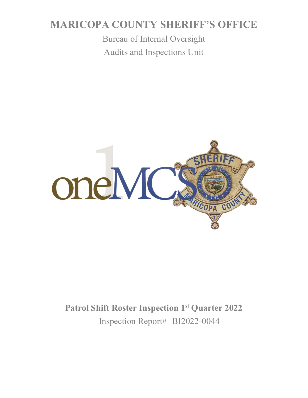# **MARICOPA COUNTY SHERIFF'S OFFICE**

Bureau of Internal Oversight Audits and Inspections Unit



# **Patrol Shift Roster Inspection 1st Quarter 2022**  Inspection Report# BI2022-0044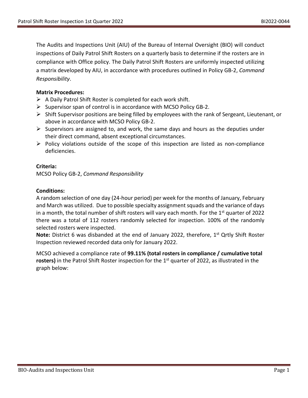The Audits and Inspections Unit (AIU) of the Bureau of Internal Oversight (BIO) will conduct inspections of Daily Patrol Shift Rosters on a quarterly basis to determine if the rosters are in compliance with Office policy. The Daily Patrol Shift Rosters are uniformly inspected utilizing a matrix developed by AIU, in accordance with procedures outlined in Policy GB-2, *Command Responsibility*.

#### **Matrix Procedures:**

- $\triangleright$  A Daily Patrol Shift Roster is completed for each work shift.
- $\triangleright$  Supervisor span of control is in accordance with MCSO Policy GB-2.
- $\triangleright$  Shift Supervisor positions are being filled by employees with the rank of Sergeant, Lieutenant, or above in accordance with MCSO Policy GB-2.
- $\triangleright$  Supervisors are assigned to, and work, the same days and hours as the deputies under their direct command, absent exceptional circumstances.
- $\triangleright$  Policy violations outside of the scope of this inspection are listed as non-compliance deficiencies.

#### **Criteria:**

MCSO Policy GB-2, *Command Responsibility*

#### **Conditions:**

A random selection of one day (24-hour period) per week for the months of January, February and March was utilized. Due to possible specialty assignment squads and the variance of days in a month, the total number of shift rosters will vary each month. For the  $1<sup>st</sup>$  quarter of 2022 there was a total of 112 rosters randomly selected for inspection. 100% of the randomly selected rosters were inspected.

**Note:** District 6 was disbanded at the end of January 2022, therefore, 1<sup>st</sup> Qrtly Shift Roster Inspection reviewed recorded data only for January 2022.

MCSO achieved a compliance rate of **99.11% (total rosters in compliance / cumulative total rosters)** in the Patrol Shift Roster inspection for the 1<sup>st</sup> quarter of 2022, as illustrated in the graph below: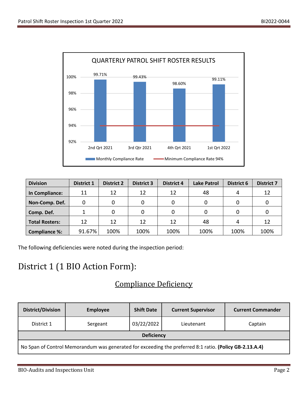

| <b>Division</b>       | <b>District 1</b> | <b>District 2</b> | <b>District 3</b> | <b>District 4</b> | <b>Lake Patrol</b> | <b>District 6</b> | <b>District 7</b> |
|-----------------------|-------------------|-------------------|-------------------|-------------------|--------------------|-------------------|-------------------|
| In Compliance:        | 11                | 12                | 12                | 12                | 48                 |                   | 12                |
| Non-Comp. Def.        |                   |                   |                   |                   | 0                  |                   |                   |
| Comp. Def.            |                   |                   | 0                 |                   | 0                  |                   |                   |
| <b>Total Rosters:</b> | 12                | 12                | 12                | 12                | 48                 |                   | 12                |
| <b>Compliance %:</b>  | 91.67%            | 100%              | 100%              | 100%              | 100%               | 100%              | 100%              |

The following deficiencies were noted during the inspection period:

## District 1 (1 BIO Action Form):

### Compliance Deficiency

| <b>District/Division</b>                                                                                | <b>Employee</b> | <b>Shift Date</b> | <b>Current Supervisor</b> | <b>Current Commander</b> |  |  |  |
|---------------------------------------------------------------------------------------------------------|-----------------|-------------------|---------------------------|--------------------------|--|--|--|
| District 1                                                                                              | Sergeant        | 03/22/2022        | Lieutenant                | Captain                  |  |  |  |
| <b>Deficiency</b>                                                                                       |                 |                   |                           |                          |  |  |  |
| No Span of Control Memorandum was generated for exceeding the preferred 8:1 ratio. (Policy GB-2.13.A.4) |                 |                   |                           |                          |  |  |  |